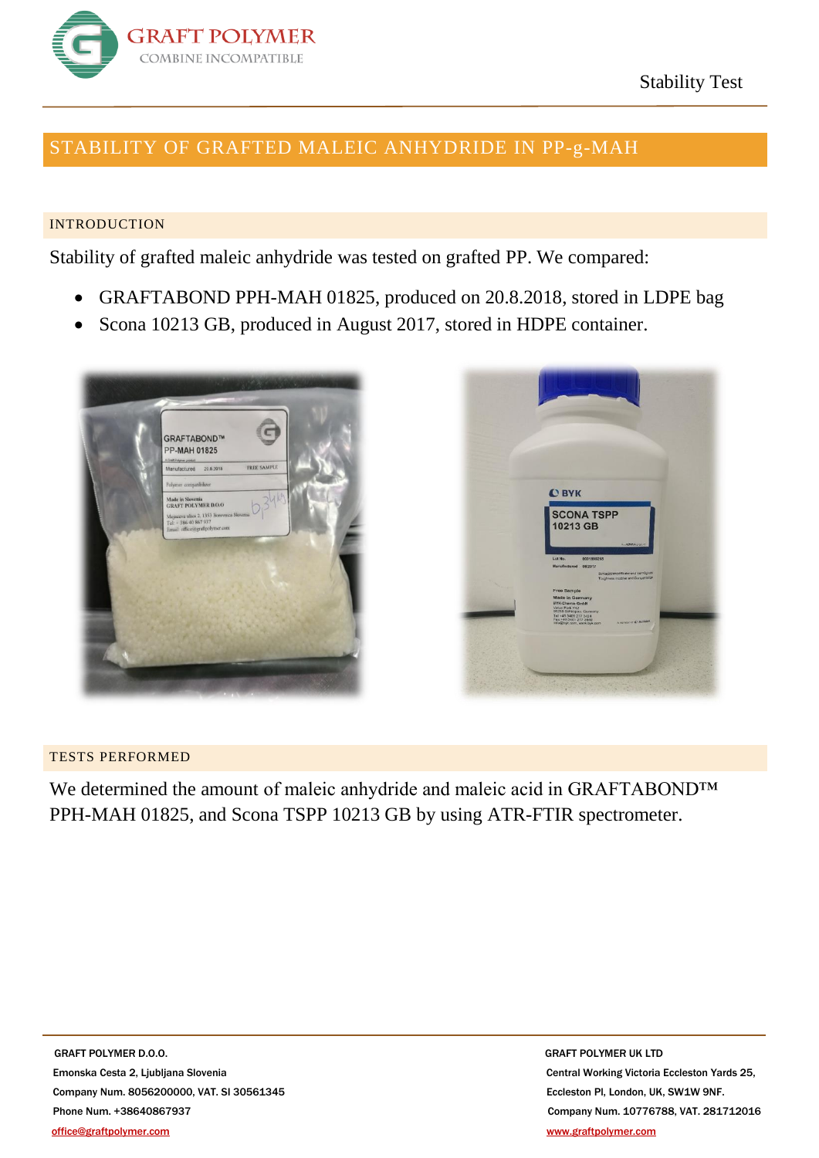

## STABILITY OF GRAFTED MALEIC ANHYDRIDE IN PP-g-MAH

## INTRODUCTION

Stability of grafted maleic anhydride was tested on grafted PP. We compared:

- GRAFTABOND PPH-MAH 01825, produced on 20.8.2018, stored in LDPE bag
- Scona 10213 GB, produced in August 2017, stored in HDPE container.





## TESTS PERFORMED

We determined the amount of maleic anhydride and maleic acid in GRAFTABOND™ PPH-MAH 01825, and Scona TSPP 10213 GB by using ATR-FTIR spectrometer.

**GRAFT POLYMER D.O.O.** GRAFT POLYMER UK LTD Emonska Cesta 2, Ljubljana Slovenia Central Working Victoria Eccleston Yards 25, Company Num. 8056200000, VAT. SI 30561345 Eccleston Pl, London, UK, SW1W 9NF. Phone Num. +38640867937 Company Num. 10776788, VAT. 281712016 [office@graftpolymer.com](mailto:office@graftpolymer.com) [www.graftpolymer.com](http://www.graftpolymer.com/)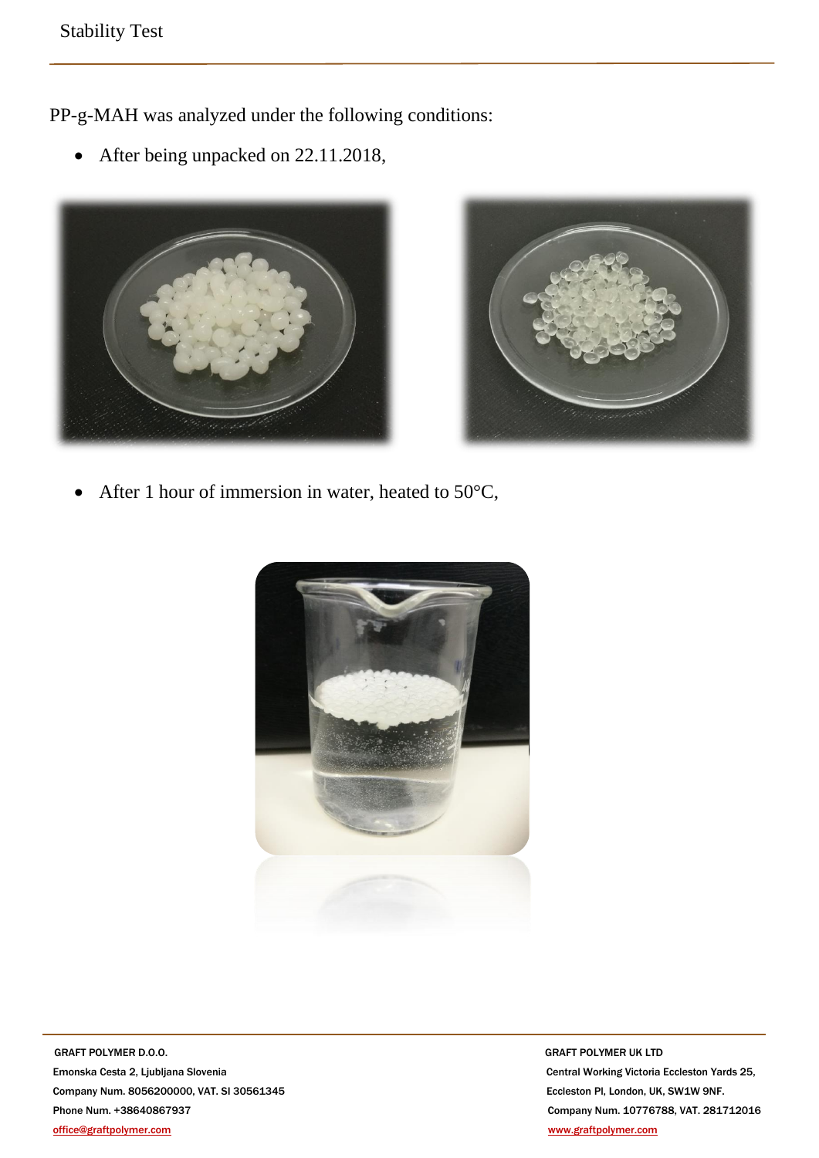PP-g-MAH was analyzed under the following conditions:

• After being unpacked on 22.11.2018,





• After 1 hour of immersion in water, heated to 50°C,



**GRAFT POLYMER D.O.O.** *GRAFT POLYMER UK LTD*  Emonska Cesta 2, Ljubljana Slovenia Central Working Victoria Eccleston Yards 25, Company Num. 8056200000, VAT. SI 30561345 Eccleston Pl, London, UK, SW1W 9NF. Phone Num. +38640867937 Company Num. 10776788, VAT. 281712016 [office@graftpolymer.com](mailto:office@graftpolymer.com) [www.graftpolymer.com](http://www.graftpolymer.com/)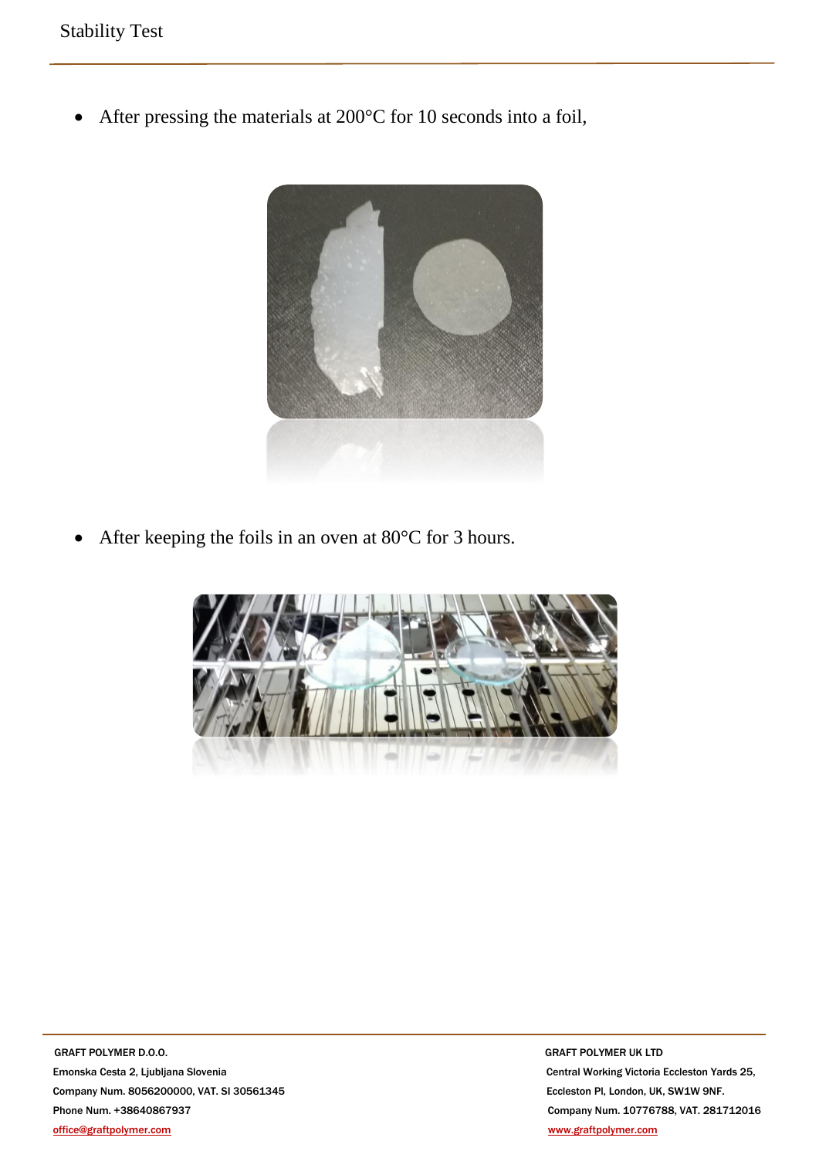• After pressing the materials at 200°C for 10 seconds into a foil,



• After keeping the foils in an oven at 80°C for 3 hours.



**GRAFT POLYMER D.O.O.** *GRAFT POLYMER UK LTD*  Emonska Cesta 2, Ljubljana Slovenia Central Working Victoria Eccleston Yards 25, Company Num. 8056200000, VAT. SI 30561345 Eccleston Pl, London, UK, SW1W 9NF. Phone Num. +38640867937 Company Num. 10776788, VAT. 281712016 [office@graftpolymer.com](mailto:office@graftpolymer.com) [www.graftpolymer.com](http://www.graftpolymer.com/)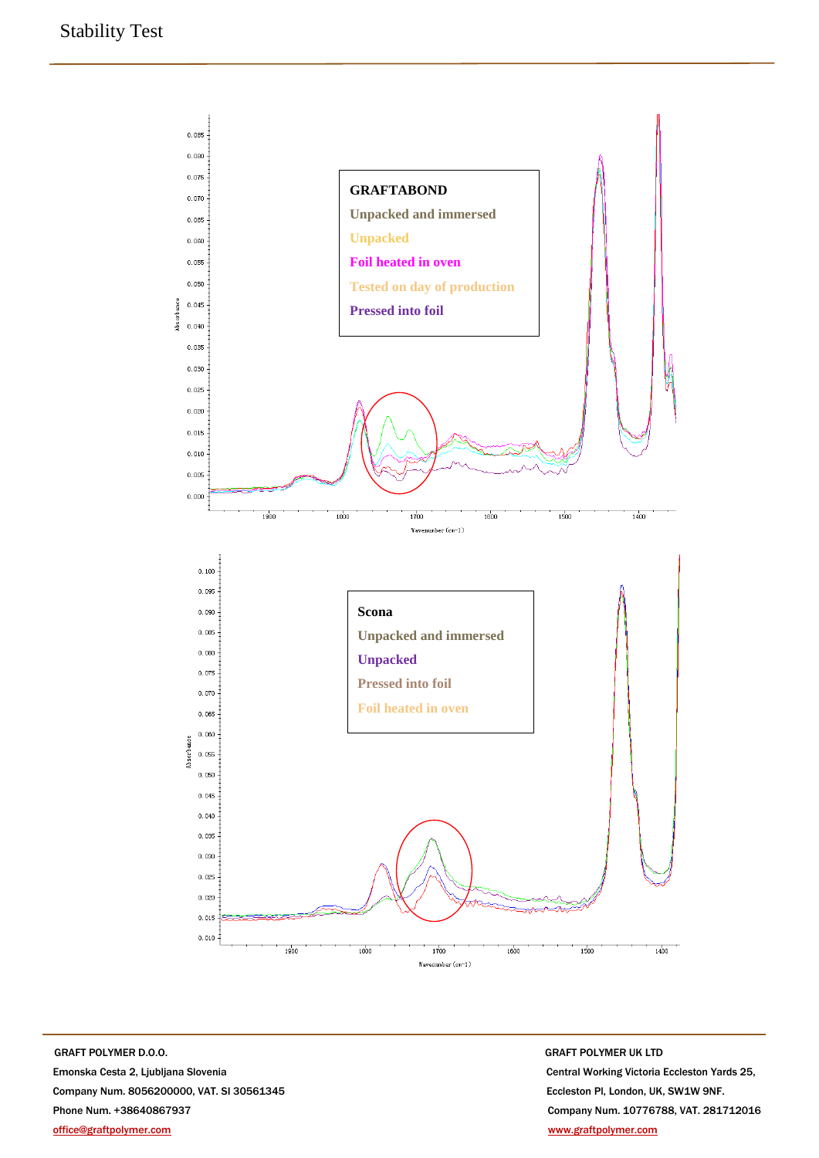

**GRAFT POLYMER D.O.O.** GRAFT POLYMER UK LTD Emonska Cesta 2, Ljubljana Slovenia Central Working Victoria Eccleston Yards 25, Company Num. 8056200000, VAT. SI 30561345 Eccleston Pl, London, UK, SW1W 9NF. Phone Num. +38640867937 Company Num. 10776788, VAT. 281712016 [office@graftpolymer.com](mailto:office@graftpolymer.com) [www.graftpolymer.com](http://www.graftpolymer.com/)